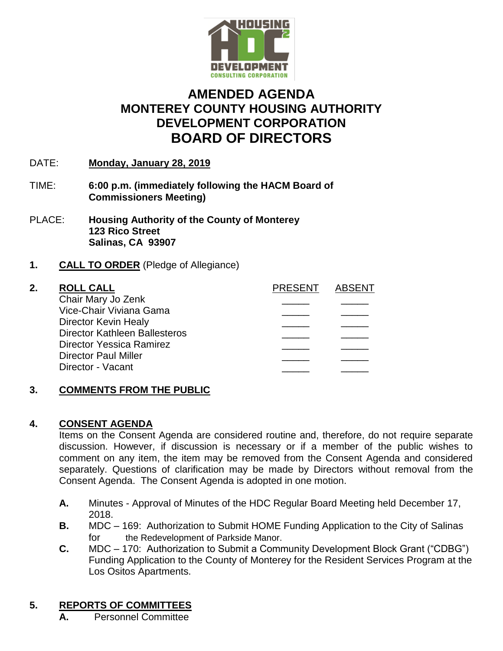

# **AMENDED AGENDA MONTEREY COUNTY HOUSING AUTHORITY DEVELOPMENT CORPORATION BOARD OF DIRECTORS**

- DATE: **Monday, January 28, 2019**
- TIME: **6:00 p.m. (immediately following the HACM Board of Commissioners Meeting)**
- PLACE: **Housing Authority of the County of Monterey 123 Rico Street Salinas, CA 93907**
- **1. CALL TO ORDER** (Pledge of Allegiance)

| 2. | <b>ROLL CALL</b>                     | <b>PRESENT</b> | ARSENT |
|----|--------------------------------------|----------------|--------|
|    | Chair Mary Jo Zenk                   |                |        |
|    | Vice-Chair Viviana Gama              |                |        |
|    | Director Kevin Healy                 |                |        |
|    | <b>Director Kathleen Ballesteros</b> |                |        |
|    | Director Yessica Ramirez             |                |        |
|    | <b>Director Paul Miller</b>          |                |        |
|    | Director - Vacant                    |                |        |
|    |                                      |                |        |

# **3. COMMENTS FROM THE PUBLIC**

# **4. CONSENT AGENDA**

Items on the Consent Agenda are considered routine and, therefore, do not require separate discussion. However, if discussion is necessary or if a member of the public wishes to comment on any item, the item may be removed from the Consent Agenda and considered separately. Questions of clarification may be made by Directors without removal from the Consent Agenda. The Consent Agenda is adopted in one motion.

- **A.** Minutes Approval of Minutes of the HDC Regular Board Meeting held December 17, 2018.
- **B.** MDC 169: Authorization to Submit HOME Funding Application to the City of Salinas for the Redevelopment of Parkside Manor.
- **C.** MDC 170: Authorization to Submit a Community Development Block Grant ("CDBG") Funding Application to the County of Monterey for the Resident Services Program at the Los Ositos Apartments.

# **5. REPORTS OF COMMITTEES**

**A.** Personnel Committee